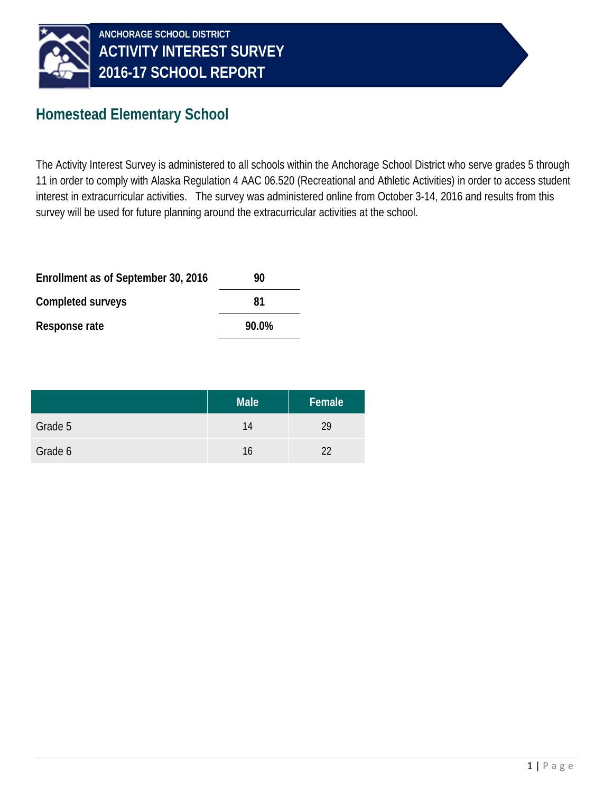

#### **Homestead Elementary School**

The Activity Interest Survey is administered to all schools within the Anchorage School District who serve grades 5 through 11 in order to comply with Alaska Regulation 4 AAC 06.520 (Recreational and Athletic Activities) in order to access student interest in extracurricular activities. The survey was administered online from October 3-14, 2016 and results from this survey will be used for future planning around the extracurricular activities at the school.

| Enrollment as of September 30, 2016 | 90    |  |
|-------------------------------------|-------|--|
| Completed surveys                   | 81    |  |
| Response rate                       | 90.0% |  |

|         | <b>Male</b> | Female |
|---------|-------------|--------|
| Grade 5 | 14          | 29     |
| Grade 6 | 16          | 22     |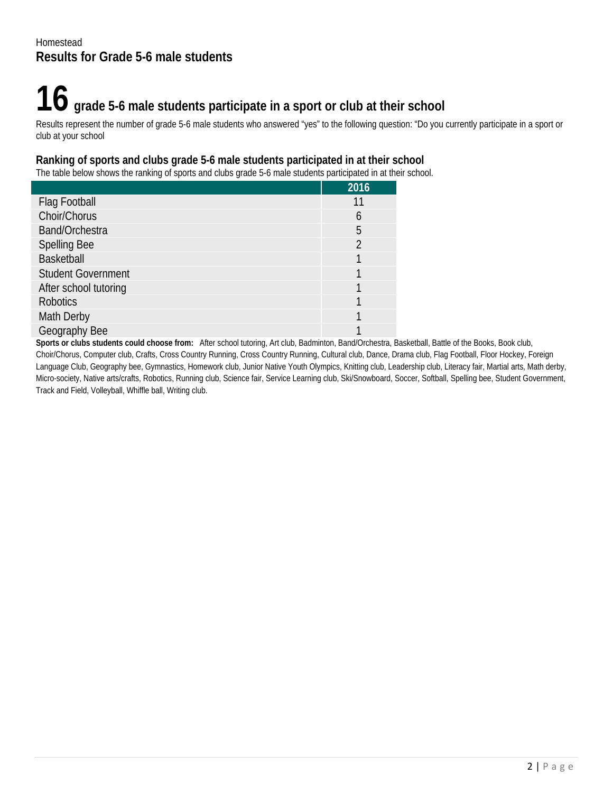## **16 grade 5-6 male students participate in a sport or club at their school**

Results represent the number of grade 5-6 male students who answered "yes" to the following question: "Do you currently participate in a sport or club at your school

#### **Ranking of sports and clubs grade 5-6 male students participated in at their school**

The table below shows the ranking of sports and clubs grade 5-6 male students participated in at their school.

|                           | 2016 |
|---------------------------|------|
| Flag Football             | 11   |
| Choir/Chorus              | h    |
| Band/Orchestra            | 5    |
| <b>Spelling Bee</b>       |      |
| <b>Basketball</b>         |      |
| <b>Student Government</b> |      |
| After school tutoring     |      |
| <b>Robotics</b>           |      |
| Math Derby                |      |
| Geography Bee             |      |

**Sports or clubs students could choose from:** After school tutoring, Art club, Badminton, Band/Orchestra, Basketball, Battle of the Books, Book club, Choir/Chorus, Computer club, Crafts, Cross Country Running, Cross Country Running, Cultural club, Dance, Drama club, Flag Football, Floor Hockey, Foreign Language Club, Geography bee, Gymnastics, Homework club, Junior Native Youth Olympics, Knitting club, Leadership club, Literacy fair, Martial arts, Math derby, Micro-society, Native arts/crafts, Robotics, Running club, Science fair, Service Learning club, Ski/Snowboard, Soccer, Softball, Spelling bee, Student Government, Track and Field, Volleyball, Whiffle ball, Writing club.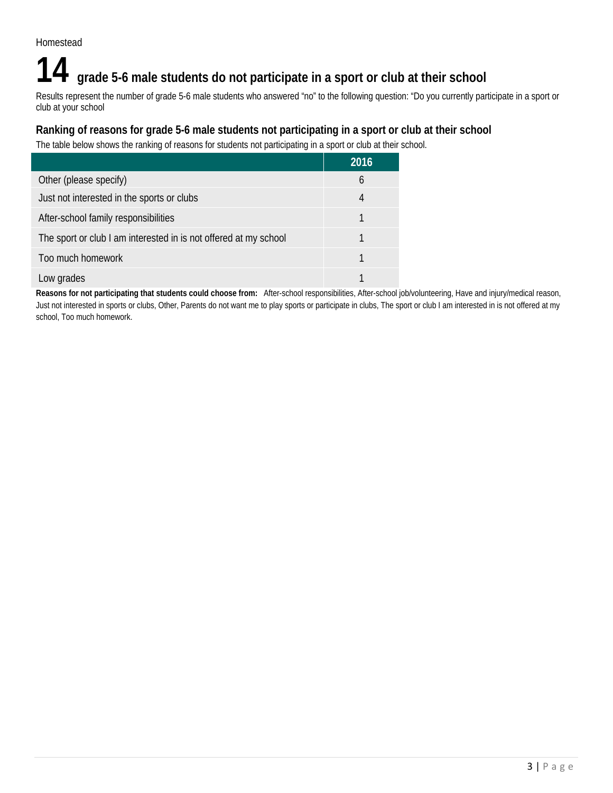### **14 grade 5-6 male students do not participate in a sport or club at their school**

Results represent the number of grade 5-6 male students who answered "no" to the following question: "Do you currently participate in a sport or club at your school

#### **Ranking of reasons for grade 5-6 male students not participating in a sport or club at their school**

The table below shows the ranking of reasons for students not participating in a sport or club at their school.

|                                                                  | 2016 |
|------------------------------------------------------------------|------|
| Other (please specify)                                           | b    |
| Just not interested in the sports or clubs                       | 4    |
| After-school family responsibilities                             |      |
| The sport or club I am interested in is not offered at my school |      |
| Too much homework                                                |      |
| Low grades                                                       |      |

**Reasons for not participating that students could choose from:** After-school responsibilities, After-school job/volunteering, Have and injury/medical reason, Just not interested in sports or clubs, Other, Parents do not want me to play sports or participate in clubs, The sport or club I am interested in is not offered at my school, Too much homework.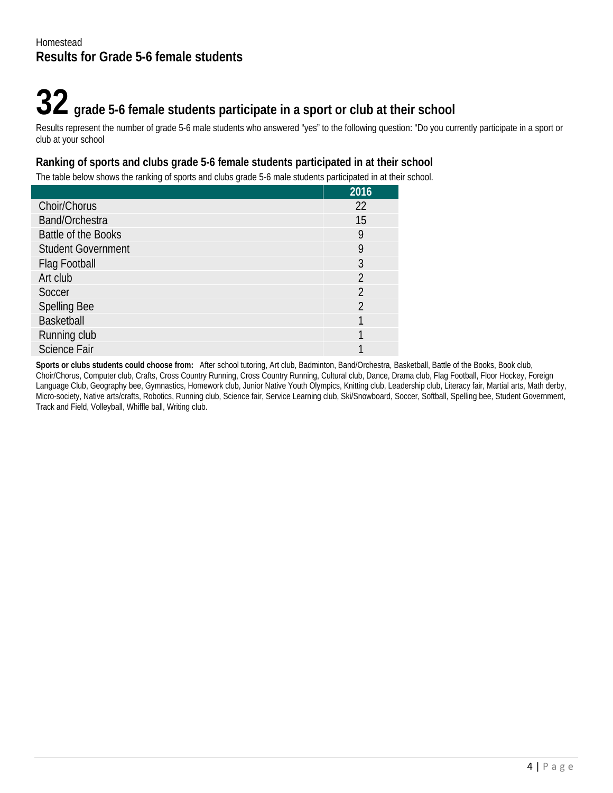# **32 grade 5-6 female students participate in a sport or club at their school**

Results represent the number of grade 5-6 male students who answered "yes" to the following question: "Do you currently participate in a sport or club at your school

#### **Ranking of sports and clubs grade 5-6 female students participated in at their school**

The table below shows the ranking of sports and clubs grade 5-6 male students participated in at their school.

|                           | 2016           |
|---------------------------|----------------|
| Choir/Chorus              | 22             |
| Band/Orchestra            | 15             |
| Battle of the Books       | 9              |
| <b>Student Government</b> | 9              |
| Flag Football             | 3              |
| Art club                  | $\mathfrak{D}$ |
| Soccer                    | $\overline{2}$ |
| <b>Spelling Bee</b>       | $\overline{2}$ |
| <b>Basketball</b>         |                |
| Running club              |                |
| <b>Science Fair</b>       |                |

**Sports or clubs students could choose from:** After school tutoring, Art club, Badminton, Band/Orchestra, Basketball, Battle of the Books, Book club, Choir/Chorus, Computer club, Crafts, Cross Country Running, Cross Country Running, Cultural club, Dance, Drama club, Flag Football, Floor Hockey, Foreign Language Club, Geography bee, Gymnastics, Homework club, Junior Native Youth Olympics, Knitting club, Leadership club, Literacy fair, Martial arts, Math derby, Micro-society, Native arts/crafts, Robotics, Running club, Science fair, Service Learning club, Ski/Snowboard, Soccer, Softball, Spelling bee, Student Government, Track and Field, Volleyball, Whiffle ball, Writing club.